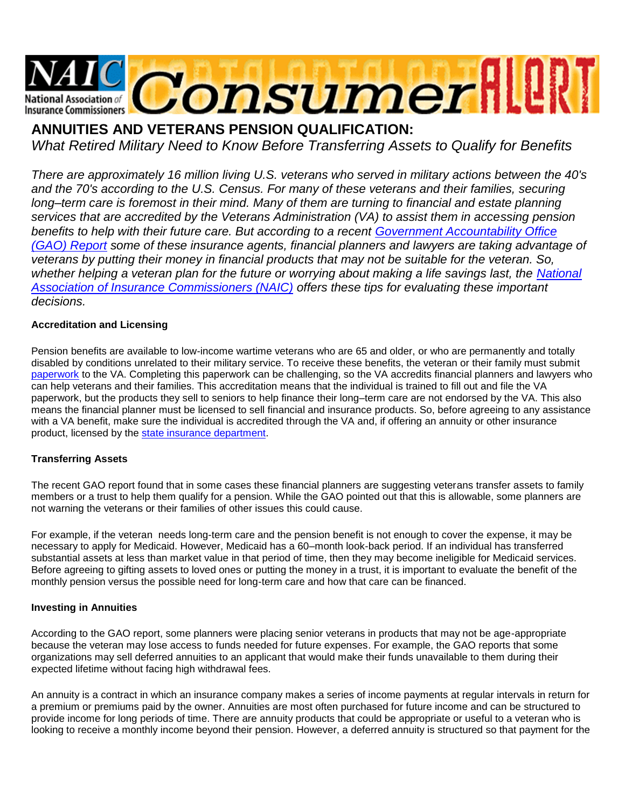

# **ANNUITIES AND VETERANS PENSION QUALIFICATION:**

*What Retired Military Need to Know Before Transferring Assets to Qualify for Benefits*

*There are approximately 16 million living U.S. veterans who served in military actions between the 40's*  and the 70's according to the U.S. Census. For many of these veterans and their families, securing *long–term care is foremost in their mind. Many of them are turning to financial and estate planning services that are accredited by the Veterans Administration (VA) to assist them in accessing pension benefits to help with their future care. But according to a recent [Government Accountability Office](http://www.gao.gov/assets/600/590847.pdf)  [\(GAO\) Report](http://www.gao.gov/assets/600/590847.pdf) some of these insurance agents, financial planners and lawyers are taking advantage of veterans by putting their money in financial products that may not be suitable for the veteran. So,*  whether helping a veteran plan for the future or worrying about making a life savings last, the National *[Association of Insurance Commissioners \(NAIC\)](http://www.naic.org/index.htm) offers these tips for evaluating these important decisions.*

## **Accreditation and Licensing**

Pension benefits are available to low-income wartime veterans who are 65 and older, or who are permanently and totally disabled by conditions unrelated to their military service. To receive these benefits, the veteran or their family must submit [paperwork](http://www.vba.va.gov/bln/21/pension/) to the VA. Completing this paperwork can be challenging, so the VA accredits financial planners and lawyers who can help veterans and their families. This accreditation means that the individual is trained to fill out and file the VA paperwork, but the products they sell to seniors to help finance their long–term care are not endorsed by the VA. This also means the financial planner must be licensed to sell financial and insurance products. So, before agreeing to any assistance with a VA benefit, make sure the individual is accredited through the VA and, if offering an annuity or other insurance product, licensed by the [state insurance department.](map.naic.org)

# **Transferring Assets**

The recent GAO report found that in some cases these financial planners are suggesting veterans transfer assets to family members or a trust to help them qualify for a pension. While the GAO pointed out that this is allowable, some planners are not warning the veterans or their families of other issues this could cause.

For example, if the veteran needs long-term care and the pension benefit is not enough to cover the expense, it may be necessary to apply for Medicaid. However, Medicaid has a 60–month look-back period. If an individual has transferred substantial assets at less than market value in that period of time, then they may become ineligible for Medicaid services. Before agreeing to gifting assets to loved ones or putting the money in a trust, it is important to evaluate the benefit of the monthly pension versus the possible need for long-term care and how that care can be financed.

#### **Investing in Annuities**

According to the GAO report, some planners were placing senior veterans in products that may not be age-appropriate because the veteran may lose access to funds needed for future expenses. For example, the GAO reports that some organizations may sell deferred annuities to an applicant that would make their funds unavailable to them during their expected lifetime without facing high withdrawal fees.

An annuity is a contract in which an insurance company makes a series of income payments at regular intervals in return for a premium or premiums paid by the owner. Annuities are most often purchased for future income and can be structured to provide income for long periods of time. There are annuity products that could be appropriate or useful to a veteran who is looking to receive a monthly income beyond their pension. However, a deferred annuity is structured so that payment for the